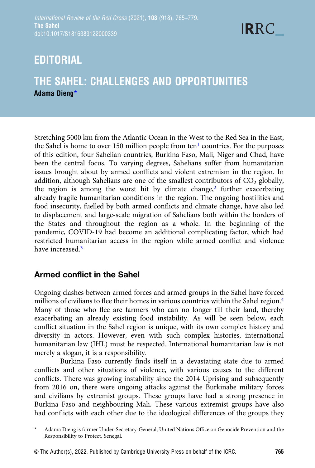## EDITORIAL

### THE SAHEL: CHALLENGES AND OPPORTUNITIES Adama Dieng\*

Stretching 5000 km from the Atlantic Ocean in the West to the Red Sea in the East, the Sahel is home to over [1](#page-1-0)50 million people from ten<sup>1</sup> countries. For the purposes of this edition, four Sahelian countries, Burkina Faso, Mali, Niger and Chad, have been the central focus. To varying degrees, Sahelians suffer from humanitarian issues brought about by armed conflicts and violent extremism in the region. In addition, although Sahelians are one of the smallest contributors of  $CO<sub>2</sub>$  globally, the region is among the worst hit by climate change, $\frac{2}{3}$  further exacerbating already fragile humanitarian conditions in the region. The ongoing hostilities and food insecurity, fuelled by both armed conflicts and climate change, have also led to displacement and large-scale migration of Sahelians both within the borders of the States and throughout the region as a whole. In the beginning of the pandemic, COVID-19 had become an additional complicating factor, which had restricted humanitarian access in the region while armed conflict and violence have increased <sup>[3](#page-1-0)</sup>

#### Armed conflict in the Sahel

Ongoing clashes between armed forces and armed groups in the Sahel have forced millions of civilians to flee their homes in various countries within the Sahel region.<sup>4</sup> Many of those who flee are farmers who can no longer till their land, thereby exacerbating an already existing food instability. As will be seen below, each conflict situation in the Sahel region is unique, with its own complex history and diversity in actors. However, even with such complex histories, international humanitarian law (IHL) must be respected. International humanitarian law is not merely a slogan, it is a responsibility.

Burkina Faso currently finds itself in a devastating state due to armed conflicts and other situations of violence, with various causes to the different conflicts. There was growing instability since the 2014 Uprising and subsequently from 2016 on, there were ongoing attacks against the Burkinabe military forces and civilians by extremist groups. These groups have had a strong presence in Burkina Faso and neighbouring Mali. These various extremist groups have also had conflicts with each other due to the ideological differences of the groups they

© The Author(s), 2022. Published by Cambridge University Press on behalf of the ICRC. 765

Adama Dieng is former Under-Secretary-General, United Nations Office on Genocide Prevention and the Responsibility to Protect, Senegal.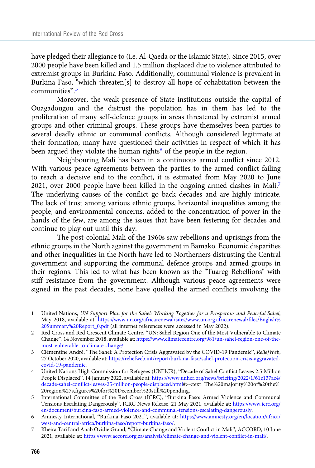<span id="page-1-0"></span>have pledged their allegiance to (i.e. Al-Qaeda or the Islamic State). Since 2015, over 2000 people have been killed and 1.5 million displaced due to violence attributed to extremist groups in Burkina Faso. Additionally, communal violence is prevalent in Burkina Faso, "which threaten[s] to destroy all hope of cohabitation between the communities". 5

Moreover, the weak presence of State institutions outside the capital of Ouagadougou and the distrust the population has in them has led to the proliferation of many self-defence groups in areas threatened by extremist armed groups and other criminal groups. These groups have themselves been parties to several deadly ethnic or communal conflicts. Although considered legitimate at their formation, many have questioned their activities in respect of which it has been argued they violate the human rights<sup>6</sup> of the people in the region.

Neighbouring Mali has been in a continuous armed conflict since 2012. With various peace agreements between the parties to the armed conflict failing to reach a decisive end to the conflict, it is estimated from May 2020 to June 2021, over 2000 people have been killed in the ongoing armed clashes in Mali.7 The underlying causes of the conflict go back decades and are highly intricate. The lack of trust among various ethnic groups, horizontal inequalities among the people, and environmental concerns, added to the concentration of power in the hands of the few, are among the issues that have been festering for decades and continue to play out until this day.

The post-colonial Mali of the 1960s saw rebellions and uprisings from the ethnic groups in the North against the government in Bamako. Economic disparities and other inequalities in the North have led to Northerners distrusting the Central government and supporting the communal defence groups and armed groups in their regions. This led to what has been known as the "Tuareg Rebellions" with stiff resistance from the government. Although various peace agreements were signed in the past decades, none have quelled the armed conflicts involving the

- 1 United Nations, UN Support Plan for the Sahel: Working Together for a Prosperous and Peaceful Sahel, May 2018, available at: [https://www.un.org/africarenewal/sites/www.un.org.africarenewal/files/English%](https://www.un.org/africarenewal/sites/www.un.org.africarenewal/files/English%20Summary%20Report_0.pdf) [20Summary%20Report\\_0.pdf](https://www.un.org/africarenewal/sites/www.un.org.africarenewal/files/English%20Summary%20Report_0.pdf) (all internet references were accessed in May 2022).
- 2 Red Cross and Red Crescent Climate Centre, "UN: Sahel Region One of the Most Vulnerable to Climate Change", 14 November 2018, available at: [https://www.climatecentre.org/981/un-sahel-region-one-of-the](https://www.climatecentre.org/981/un-sahel-region-one-of-the-most-vulnerable-to-climate-change/)[most-vulnerable-to-climate-change/](https://www.climatecentre.org/981/un-sahel-region-one-of-the-most-vulnerable-to-climate-change/).
- 3 Clémentine André, "The Sahel: A Protection Crisis Aggravated by the COVID-19 Pandemic", ReliefWeb, 27 October 2020, available at: [https://reliefweb.int/report/burkina-faso/sahel-protection-crisis-aggravated](https://reliefweb.int/report/burkina-faso/sahel-protection-crisis-aggravated-covid-19-pandemic)[covid-19-pandemic](https://reliefweb.int/report/burkina-faso/sahel-protection-crisis-aggravated-covid-19-pandemic).
- 4 United Nations High Commission for Refugees (UNHCR), "Decade of Sahel Conflict Leaves 2.5 Million People Displaced", 14 January 2022, available at: [https://www.unhcr.org/news/briefing/2022/1/61e137ac4/](https://www.unhcr.org/news/briefing/2022/1/61e137ac4/decade-sahel-conflict-leaves-25-million-people-displaced.html) [decade-sahel-conflict-leaves-25-million-people-displaced.html](https://www.unhcr.org/news/briefing/2022/1/61e137ac4/decade-sahel-conflict-leaves-25-million-people-displaced.html)#:∼:text=The%20majority%20of%20the% 20region%27s,figures%20for%20December%20still%20pending.
- 5 International Committee of the Red Cross (ICRC), "Burkina Faso: Armed Violence and Communal Tensions Escalating Dangerously", ICRC News Release, 21 May 2021, available at: [https://www.icrc.org/](https://www.icrc.org/en/document/burkina-faso-armed-violence-and-communal-tensions-escalating-dangerously) [en/document/burkina-faso-armed-violence-and-communal-tensions-escalating-dangerously.](https://www.icrc.org/en/document/burkina-faso-armed-violence-and-communal-tensions-escalating-dangerously)
- 6 Amnesty International, "Burkina Faso 2021", available at: [https://www.amnesty.org/en/location/africa/](https://www.amnesty.org/en/location/africa/west-and-central-africa/burkina-faso/report-burkina-faso/) [west-and-central-africa/burkina-faso/report-burkina-faso/](https://www.amnesty.org/en/location/africa/west-and-central-africa/burkina-faso/report-burkina-faso/).
- 7 Kheira Tarif and Anab Ovidie Grand, "Climate Change and Violent Conflict in Mali", ACCORD, 10 June 2021, available at: [https://www.accord.org.za/analysis/climate-change-and-violent-conflict-in-mali/.](https://www.accord.org.za/analysis/climate-change-and-violent-conflict-in-mali/)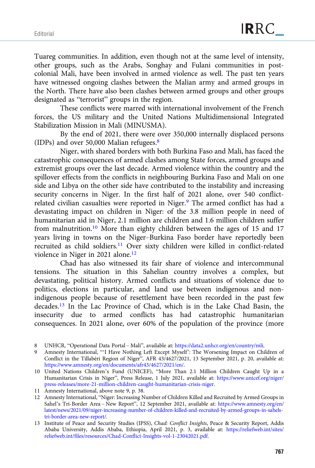Tuareg communities. In addition, even though not at the same level of intensity, other groups, such as the Arabs, Songhay and Fulani communities in postcolonial Mali, have been involved in armed violence as well. The past ten years have witnessed ongoing clashes between the Malian army and armed groups in the North. There have also been clashes between armed groups and other groups designated as "terrorist" groups in the region.

These conflicts were marred with international involvement of the French forces, the US military and the United Nations Multidimensional Integrated Stabilization Mission in Mali (MINUSMA).

By the end of 2021, there were over 350,000 internally displaced persons (IDPs) and over 50,000 Malian refugees. $8$ 

Niger, with shared borders with both Burkina Faso and Mali, has faced the catastrophic consequences of armed clashes among State forces, armed groups and extremist groups over the last decade. Armed violence within the country and the spillover effects from the conflicts in neighbouring Burkina Faso and Mali on one side and Libya on the other side have contributed to the instability and increasing security concerns in Niger. In the first half of 2021 alone, over 540 conflictrelated civilian casualties were reported in Niger.<sup>9</sup> The armed conflict has had a devastating impact on children in Niger: of the 3.8 million people in need of humanitarian aid in Niger, 2.1 million are children and 1.6 million children suffer from malnutrition.<sup>10</sup> More than eighty children between the ages of 15 and 17 years living in towns on the Niger–Burkina Faso border have reportedly been recruited as child soldiers.11 Over sixty children were killed in conflict-related violence in Niger in 2021 alone.<sup>12</sup>

Chad has also witnessed its fair share of violence and intercommunal tensions. The situation in this Sahelian country involves a complex, but devastating, political history. Armed conflicts and situations of violence due to politics, elections in particular, and land use between indigenous and nonindigenous people because of resettlement have been recorded in the past few decades.13 In the Lac Province of Chad, which is in the Lake Chad Basin, the insecurity due to armed conflicts has had catastrophic humanitarian consequences. In 2021 alone, over 60% of the population of the province (more

<sup>8</sup> UNHCR, "Operational Data Portal – Mali", available at: <https://data2.unhcr.org/en/country/mli>.

<sup>9</sup> Amnesty International, "'I Have Nothing Left Except Myself': The Worsening Impact on Children of Conflict in the Tillabéri Region of Niger", AFR 43/4627/2021, 13 September 2021, p. 20, available at: <https://www.amnesty.org/en/documents/afr43/4627/2021/en/>.

<sup>10</sup> United Nations Children's Fund (UNICEF), "More Than 2.1 Million Children Caught Up in a Humanitarian Crisis in Niger", Press Release, 1 July 2021, available at: [https://www.unicef.org/niger/](https://www.unicef.org/niger/press-releases/more-21-million-children-caught-humanitarian-crisis-niger) [press-releases/more-21-million-children-caught-humanitarian-crisis-niger](https://www.unicef.org/niger/press-releases/more-21-million-children-caught-humanitarian-crisis-niger).

<sup>11</sup> Amnesty International, above note 9, p. 38.

<sup>12</sup> Amnesty International, "Niger: Increasing Number of Children Killed and Recruited by Armed Groups in Sahel's Tri-Border Area – New Report", 12 September 2021, available at: [https://www.amnesty.org/en/](https://www.amnesty.org/en/latest/news/2021/09/niger-increasing-number-of-children-killed-and-recruited-by-armed-groups-in-sahels-tri-border-area-new-report/) [latest/news/2021/09/niger-increasing-number-of-children-killed-and-recruited-by-armed-groups-in-sahels](https://www.amnesty.org/en/latest/news/2021/09/niger-increasing-number-of-children-killed-and-recruited-by-armed-groups-in-sahels-tri-border-area-new-report/)[tri-border-area-new-report/](https://www.amnesty.org/en/latest/news/2021/09/niger-increasing-number-of-children-killed-and-recruited-by-armed-groups-in-sahels-tri-border-area-new-report/).

<sup>13</sup> Institute of Peace and Security Studies (IPSS), Chad: Conflict Insights, Peace & Security Report, Addis Ababa University, Addis Ababa, Ethiopia, April 2021, p. 3, available at: [https://reliefweb.int/sites/](https://reliefweb.int/sites/reliefweb.int/files/resources/Chad-Conflict-Insights-vol-1-23042021.pdf) [reliefweb.int/files/resources/Chad-Conflict-Insights-vol-1-23042021.pdf.](https://reliefweb.int/sites/reliefweb.int/files/resources/Chad-Conflict-Insights-vol-1-23042021.pdf)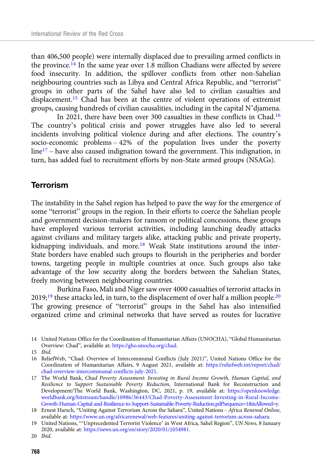than 406,500 people) were internally displaced due to prevailing armed conflicts in the province.<sup>14</sup> In the same year over 1.8 million Chadians were affected by severe food insecurity. In addition, the spillover conflicts from other non-Sahelian neighbouring countries such as Libya and Central Africa Republic, and "terrorist" groups in other parts of the Sahel have also led to civilian casualties and displacement.15 Chad has been at the centre of violent operations of extremist groups, causing hundreds of civilian causalities, including in the capital N'djamena.

In 2021, there have been over 300 casualties in these conflicts in Chad.16 The country's political crisis and power struggles have also led to several incidents involving political violence during and after elections. The country's socio-economic problems – 42% of the population lives under the poverty  $line<sup>17</sup>$  – have also caused indignation toward the government. This indignation, in turn, has added fuel to recruitment efforts by non-State armed groups (NSAGs).

#### Terrorism

The instability in the Sahel region has helped to pave the way for the emergence of some "terrorist" groups in the region. In their efforts to coerce the Sahelian people and government decision-makers for ransom or political concessions, these groups have employed various terrorist activities, including launching deadly attacks against civilians and military targets alike, attacking public and private property, kidnapping individuals, and more.18 Weak State institutions around the inter-State borders have enabled such groups to flourish in the peripheries and border towns, targeting people in multiple countries at once. Such groups also take advantage of the low security along the borders between the Sahelian States, freely moving between neighbouring countries.

Burkina Faso, Mali and Niger saw over 4000 casualties of terrorist attacks in 2019;<sup>19</sup> these attacks led, in turn, to the displacement of over half a million people.<sup>20</sup> The growing presence of "terrorist" groups in the Sahel has also intensified organized crime and criminal networks that have served as routes for lucrative

15 Ibid.

<sup>14</sup> United Nations Office for the Coordination of Humanitarian Affairs (UNOCHA), "Global Humanitarian Overview: Chad", available at: [https://gho.unocha.org/chad.](https://gho.unocha.org/chad)

<sup>16</sup> ReliefWeb, "Chad: Overview of Intercommunal Conflicts (July 2021)", United Nations Office for the Coordination of Humanitarian Affairs, 9 August 2021, available at: [https://reliefweb.int/report/chad/](https://reliefweb.int/report/chad/chad-overview-intercommunal-conflicts-july-2021) [chad-overview-intercommunal-conflicts-july-2021](https://reliefweb.int/report/chad/chad-overview-intercommunal-conflicts-july-2021).

<sup>17</sup> The World Bank, Chad Poverty Assessment: Investing in Rural Income Growth, Human Capital, and Resilience to Support Sustainable Poverty Reduction, International Bank for Reconstruction and Development/The World Bank, Washington, DC, 2021, p. 19, available at: [https://openknowledge.](https://openknowledge.worldbank.org/bitstream/handle/10986/36443/Chad-Poverty-Assessment-Investing-in-Rural-Income-Growth-Human-Capital-and-Resilience-to-Support-Sustainable-Poverty-Reduction.pdf?sequence=1&isAllowed=y) [worldbank.org/bitstream/handle/10986/36443/Chad-Poverty-Assessment-Investing-in-Rural-Income-](https://openknowledge.worldbank.org/bitstream/handle/10986/36443/Chad-Poverty-Assessment-Investing-in-Rural-Income-Growth-Human-Capital-and-Resilience-to-Support-Sustainable-Poverty-Reduction.pdf?sequence=1&isAllowed=y)[Growth-Human-Capital-and-Resilience-to-Support-Sustainable-Poverty-Reduction.pdf?sequence=1&isAllowed=y.](https://openknowledge.worldbank.org/bitstream/handle/10986/36443/Chad-Poverty-Assessment-Investing-in-Rural-Income-Growth-Human-Capital-and-Resilience-to-Support-Sustainable-Poverty-Reduction.pdf?sequence=1&isAllowed=y)

<sup>18</sup> Ernest Harsch, "Uniting Against Terrorism Across the Sahara", United Nations – Africa Renewal Online, available at: <https://www.un.org/africarenewal/web-features/uniting-against-terrorism-across-sahara>.

<sup>19</sup> United Nations, "'Unprecedented Terrorist Violence' in West Africa, Sahel Region", UN News, 8 January 2020, available at: [https://news.un.org/en/story/2020/01/1054981.](https://news.un.org/en/story/2020/01/1054981)

<sup>20</sup> Ibid.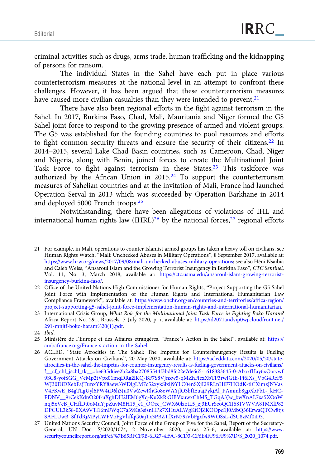criminal activities such as drugs, arms trade, human trafficking and the kidnapping of persons for ransom.

The individual States in the Sahel have each put in place various counterterrorism measures at the national level in an attempt to confront these challenges. However, it has been argued that these counterterrorism measures have caused more civilian casualties than they were intended to prevent.<sup>21</sup>

There have also been regional efforts in the fight against terrorism in the Sahel. In 2017, Burkina Faso, Chad, Mali, Mauritania and Niger formed the G5 Sahel joint force to respond to the growing presence of armed and violent groups. The G5 was established for the founding countries to pool resources and efforts to fight common security threats and ensure the security of their citizens.22 In 2014–2015, several Lake Chad Basin countries, such as Cameroon, Chad, Niger and Nigeria, along with Benin, joined forces to create the Multinational Joint Task Force to fight against terrorism in these States.<sup>23</sup> This taskforce was authorized by the African Union in 2015.24 To support the counterterrorism measures of Sahelian countries and at the invitation of Mali, France had launched Operation Serval in 2013 which was succeeded by Operation Barkhane in 2014 and deployed 5000 French troops.25

Notwithstanding, there have been allegations of violations of IHL and international human rights law (IHRL)<sup>26</sup> by the national forces,<sup>27</sup> regional efforts

<sup>21</sup> For example, in Mali, operations to counter Islamist armed groups has taken a heavy toll on civilians, see Human Rights Watch, "Mali: Unchecked Abuses in Military Operations", 8 September 2017, available at: <https://www.hrw.org/news/2017/09/08/mali-unchecked-abuses-military-operations>; see also Héni Nsaibia and Caleb Weiss, "Ansaroul Islam and the Growing Terrorist Insurgency in Burkina Faso", CTC Sentinel, Vol. 11, No. 3, March 2018, available at: [https://ctc.usma.edu/ansaroul-islam-growing-terrorist](https://ctc.usma.edu/ansaroul-islam-growing-terrorist-insurgency-burkina-faso/)[insurgency-burkina-faso/](https://ctc.usma.edu/ansaroul-islam-growing-terrorist-insurgency-burkina-faso/).

<sup>22</sup> Office of the United Nations High Commissioner for Human Rights, "Project Supporting the G5 Sahel Joint Force with Implementation of the Human Rights and International Humanitarian Law Compliance Framework", available at: [https://www.ohchr.org/en/countries-and-territories/africa-region/](https://www.ohchr.org/en/countries-and-territories/africa-region/project-supporting-g5-sahel-joint-force-implementation-human-rights-and-international-humanitarian) [project-supporting-g5-sahel-joint-force-implementation-human-rights-and-international-humanitarian](https://www.ohchr.org/en/countries-and-territories/africa-region/project-supporting-g5-sahel-joint-force-implementation-human-rights-and-international-humanitarian).

<sup>23</sup> International Crisis Group, What Role for the Multinational Joint Task Force in Fighting Boko Haram? Africa Report No. 291, Brussels, 7 July 2020, p. i, available at: [https://d2071andvip0wj.cloudfront.net/](https://d2071andvip0wj.cloudfront.net/291-mnjtf-boko-haram%20(1).pdf) [291-mnjtf-boko-haram%20\(1\).pdf](https://d2071andvip0wj.cloudfront.net/291-mnjtf-boko-haram%20(1).pdf).

<sup>24</sup> Ibid.

<sup>25</sup> Ministère de l'Europe et des Affaires étrangères, "France's Action in the Sahel", available at: [https://](https://ambafrance.org/France-s-action-in-the-Sahel) [ambafrance.org/France-s-action-in-the-Sahel](https://ambafrance.org/France-s-action-in-the-Sahel).

<sup>26</sup> ACLED, "State Atrocities in The Sahel: The Impetus for Counterinsurgency Results is Fueling Government Attacks on Civilians", 20 May 2020, available at: [https://acleddata.com/2020/05/20/state](https://acleddata.com/2020/05/20/state-atrocities-in-the-sahel-the-impetus-for-counter-insurgency-results-is-fueling-government-attacks-on-civilians/?__cf_chl_jschl_tk__=be635d6ee2b2a8ba27085544f3bd8fc22e7de665-1618383645-0-AbaxfHay6xOarvwf9SC8-yofSGG_VeMp2tVpx01mqDRg2lKQ-BF7S8VJnxw5-qMZhFlexXbTP3rwJGtE-Pf6lXs_VbG4RcF5WJ30DiDXebFajTunxYRY8aew3WDigLM7c52xykSlxlj9YLC04nSXjI29RLnHlF7HOdK-tlCXimzJNVasV4FKwE_B4gTLgUyl6PW4iD6h3Ju0VwZewRhGo8eWAYjlO3bfIEuajPykjAl_PAmmb8gpXbPbL-_kHC-PDNV__9rCekKdnO20f-uXghDH2IEM6gXq-KuXkRkUBVxuwxChMS_TGqA3Jw_bwXnAL7xa5XOoWnqj5xVcB_CHflDt0oMuYjpZuvM8H15_e1_OOce_CWX60lzotL5_zj3EUrSeoQCIJ6S1VWVA81MXlP82DPCUL3k58-0XA9VTl16mFWqC7a39Kg3sisnHPk7XHuALWgKfOjZKOOpd1J0MbQ36ErwaQTCw8tjsSAFLUwB_SfTdRjMPyLWFVoFgVhffqG0ajTx3PBZTfXrN79iVbFgxfw9WOSsL-dSU8zMf0iD3)[atrocities-in-the-sahel-the-impetus-for-counter-insurgency-results-is-fueling-government-attacks-on-civilians/](https://acleddata.com/2020/05/20/state-atrocities-in-the-sahel-the-impetus-for-counter-insurgency-results-is-fueling-government-attacks-on-civilians/?__cf_chl_jschl_tk__=be635d6ee2b2a8ba27085544f3bd8fc22e7de665-1618383645-0-AbaxfHay6xOarvwf9SC8-yofSGG_VeMp2tVpx01mqDRg2lKQ-BF7S8VJnxw5-qMZhFlexXbTP3rwJGtE-Pf6lXs_VbG4RcF5WJ30DiDXebFajTunxYRY8aew3WDigLM7c52xykSlxlj9YLC04nSXjI29RLnHlF7HOdK-tlCXimzJNVasV4FKwE_B4gTLgUyl6PW4iD6h3Ju0VwZewRhGo8eWAYjlO3bfIEuajPykjAl_PAmmb8gpXbPbL-_kHC-PDNV__9rCekKdnO20f-uXghDH2IEM6gXq-KuXkRkUBVxuwxChMS_TGqA3Jw_bwXnAL7xa5XOoWnqj5xVcB_CHflDt0oMuYjpZuvM8H15_e1_OOce_CWX60lzotL5_zj3EUrSeoQCIJ6S1VWVA81MXlP82DPCUL3k58-0XA9VTl16mFWqC7a39Kg3sisnHPk7XHuALWgKfOjZKOOpd1J0MbQ36ErwaQTCw8tjsSAFLUwB_SfTdRjMPyLWFVoFgVhffqG0ajTx3PBZTfXrN79iVbFgxfw9WOSsL-dSU8zMf0iD3) [?\\_\\_cf\\_chl\\_jschl\\_tk\\_\\_=be635d6ee2b2a8ba27085544f3bd8fc22e7de665-1618383645-0-AbaxfHay6xOarvwf](https://acleddata.com/2020/05/20/state-atrocities-in-the-sahel-the-impetus-for-counter-insurgency-results-is-fueling-government-attacks-on-civilians/?__cf_chl_jschl_tk__=be635d6ee2b2a8ba27085544f3bd8fc22e7de665-1618383645-0-AbaxfHay6xOarvwf9SC8-yofSGG_VeMp2tVpx01mqDRg2lKQ-BF7S8VJnxw5-qMZhFlexXbTP3rwJGtE-Pf6lXs_VbG4RcF5WJ30DiDXebFajTunxYRY8aew3WDigLM7c52xykSlxlj9YLC04nSXjI29RLnHlF7HOdK-tlCXimzJNVasV4FKwE_B4gTLgUyl6PW4iD6h3Ju0VwZewRhGo8eWAYjlO3bfIEuajPykjAl_PAmmb8gpXbPbL-_kHC-PDNV__9rCekKdnO20f-uXghDH2IEM6gXq-KuXkRkUBVxuwxChMS_TGqA3Jw_bwXnAL7xa5XOoWnqj5xVcB_CHflDt0oMuYjpZuvM8H15_e1_OOce_CWX60lzotL5_zj3EUrSeoQCIJ6S1VWVA81MXlP82DPCUL3k58-0XA9VTl16mFWqC7a39Kg3sisnHPk7XHuALWgKfOjZKOOpd1J0MbQ36ErwaQTCw8tjsSAFLUwB_SfTdRjMPyLWFVoFgVhffqG0ajTx3PBZTfXrN79iVbFgxfw9WOSsL-dSU8zMf0iD3) [9SC8-yofSGG\\_VeMp2tVpx01mqDRg2lKQ-BF7S8VJnxw5-qMZhFlexXbTP3rwJGtE-Pf6lXs\\_VbG4RcF5](https://acleddata.com/2020/05/20/state-atrocities-in-the-sahel-the-impetus-for-counter-insurgency-results-is-fueling-government-attacks-on-civilians/?__cf_chl_jschl_tk__=be635d6ee2b2a8ba27085544f3bd8fc22e7de665-1618383645-0-AbaxfHay6xOarvwf9SC8-yofSGG_VeMp2tVpx01mqDRg2lKQ-BF7S8VJnxw5-qMZhFlexXbTP3rwJGtE-Pf6lXs_VbG4RcF5WJ30DiDXebFajTunxYRY8aew3WDigLM7c52xykSlxlj9YLC04nSXjI29RLnHlF7HOdK-tlCXimzJNVasV4FKwE_B4gTLgUyl6PW4iD6h3Ju0VwZewRhGo8eWAYjlO3bfIEuajPykjAl_PAmmb8gpXbPbL-_kHC-PDNV__9rCekKdnO20f-uXghDH2IEM6gXq-KuXkRkUBVxuwxChMS_TGqA3Jw_bwXnAL7xa5XOoWnqj5xVcB_CHflDt0oMuYjpZuvM8H15_e1_OOce_CWX60lzotL5_zj3EUrSeoQCIJ6S1VWVA81MXlP82DPCUL3k58-0XA9VTl16mFWqC7a39Kg3sisnHPk7XHuALWgKfOjZKOOpd1J0MbQ36ErwaQTCw8tjsSAFLUwB_SfTdRjMPyLWFVoFgVhffqG0ajTx3PBZTfXrN79iVbFgxfw9WOSsL-dSU8zMf0iD3) [WJ30DiDXebFajTunxYRY8aew3WDigLM7c52xykSlxlj9YLC04nSXjI29RLnHlF7HOdK-tlCXimzJNVas](https://acleddata.com/2020/05/20/state-atrocities-in-the-sahel-the-impetus-for-counter-insurgency-results-is-fueling-government-attacks-on-civilians/?__cf_chl_jschl_tk__=be635d6ee2b2a8ba27085544f3bd8fc22e7de665-1618383645-0-AbaxfHay6xOarvwf9SC8-yofSGG_VeMp2tVpx01mqDRg2lKQ-BF7S8VJnxw5-qMZhFlexXbTP3rwJGtE-Pf6lXs_VbG4RcF5WJ30DiDXebFajTunxYRY8aew3WDigLM7c52xykSlxlj9YLC04nSXjI29RLnHlF7HOdK-tlCXimzJNVasV4FKwE_B4gTLgUyl6PW4iD6h3Ju0VwZewRhGo8eWAYjlO3bfIEuajPykjAl_PAmmb8gpXbPbL-_kHC-PDNV__9rCekKdnO20f-uXghDH2IEM6gXq-KuXkRkUBVxuwxChMS_TGqA3Jw_bwXnAL7xa5XOoWnqj5xVcB_CHflDt0oMuYjpZuvM8H15_e1_OOce_CWX60lzotL5_zj3EUrSeoQCIJ6S1VWVA81MXlP82DPCUL3k58-0XA9VTl16mFWqC7a39Kg3sisnHPk7XHuALWgKfOjZKOOpd1J0MbQ36ErwaQTCw8tjsSAFLUwB_SfTdRjMPyLWFVoFgVhffqG0ajTx3PBZTfXrN79iVbFgxfw9WOSsL-dSU8zMf0iD3) [V4FKwE\\_B4gTLgUyl6PW4iD6h3Ju0VwZewRhGo8eWAYjlO3bfIEuajPykjAl\\_PAmmb8gpXbPbL-\\_kHC-](https://acleddata.com/2020/05/20/state-atrocities-in-the-sahel-the-impetus-for-counter-insurgency-results-is-fueling-government-attacks-on-civilians/?__cf_chl_jschl_tk__=be635d6ee2b2a8ba27085544f3bd8fc22e7de665-1618383645-0-AbaxfHay6xOarvwf9SC8-yofSGG_VeMp2tVpx01mqDRg2lKQ-BF7S8VJnxw5-qMZhFlexXbTP3rwJGtE-Pf6lXs_VbG4RcF5WJ30DiDXebFajTunxYRY8aew3WDigLM7c52xykSlxlj9YLC04nSXjI29RLnHlF7HOdK-tlCXimzJNVasV4FKwE_B4gTLgUyl6PW4iD6h3Ju0VwZewRhGo8eWAYjlO3bfIEuajPykjAl_PAmmb8gpXbPbL-_kHC-PDNV__9rCekKdnO20f-uXghDH2IEM6gXq-KuXkRkUBVxuwxChMS_TGqA3Jw_bwXnAL7xa5XOoWnqj5xVcB_CHflDt0oMuYjpZuvM8H15_e1_OOce_CWX60lzotL5_zj3EUrSeoQCIJ6S1VWVA81MXlP82DPCUL3k58-0XA9VTl16mFWqC7a39Kg3sisnHPk7XHuALWgKfOjZKOOpd1J0MbQ36ErwaQTCw8tjsSAFLUwB_SfTdRjMPyLWFVoFgVhffqG0ajTx3PBZTfXrN79iVbFgxfw9WOSsL-dSU8zMf0iD3)[PDNV\\_\\_9rCekKdnO20f-uXghDH2IEM6gXq-KuXkRkUBVxuwxChMS\\_TGqA3Jw\\_bwXnAL7xa5XOoW](https://acleddata.com/2020/05/20/state-atrocities-in-the-sahel-the-impetus-for-counter-insurgency-results-is-fueling-government-attacks-on-civilians/?__cf_chl_jschl_tk__=be635d6ee2b2a8ba27085544f3bd8fc22e7de665-1618383645-0-AbaxfHay6xOarvwf9SC8-yofSGG_VeMp2tVpx01mqDRg2lKQ-BF7S8VJnxw5-qMZhFlexXbTP3rwJGtE-Pf6lXs_VbG4RcF5WJ30DiDXebFajTunxYRY8aew3WDigLM7c52xykSlxlj9YLC04nSXjI29RLnHlF7HOdK-tlCXimzJNVasV4FKwE_B4gTLgUyl6PW4iD6h3Ju0VwZewRhGo8eWAYjlO3bfIEuajPykjAl_PAmmb8gpXbPbL-_kHC-PDNV__9rCekKdnO20f-uXghDH2IEM6gXq-KuXkRkUBVxuwxChMS_TGqA3Jw_bwXnAL7xa5XOoWnqj5xVcB_CHflDt0oMuYjpZuvM8H15_e1_OOce_CWX60lzotL5_zj3EUrSeoQCIJ6S1VWVA81MXlP82DPCUL3k58-0XA9VTl16mFWqC7a39Kg3sisnHPk7XHuALWgKfOjZKOOpd1J0MbQ36ErwaQTCw8tjsSAFLUwB_SfTdRjMPyLWFVoFgVhffqG0ajTx3PBZTfXrN79iVbFgxfw9WOSsL-dSU8zMf0iD3) [nqj5xVcB\\_CHflDt0oMuYjpZuvM8H15\\_e1\\_OOce\\_CWX60lzotL5\\_zj3EUrSeoQCIJ6S1VWVA81MXlP82](https://acleddata.com/2020/05/20/state-atrocities-in-the-sahel-the-impetus-for-counter-insurgency-results-is-fueling-government-attacks-on-civilians/?__cf_chl_jschl_tk__=be635d6ee2b2a8ba27085544f3bd8fc22e7de665-1618383645-0-AbaxfHay6xOarvwf9SC8-yofSGG_VeMp2tVpx01mqDRg2lKQ-BF7S8VJnxw5-qMZhFlexXbTP3rwJGtE-Pf6lXs_VbG4RcF5WJ30DiDXebFajTunxYRY8aew3WDigLM7c52xykSlxlj9YLC04nSXjI29RLnHlF7HOdK-tlCXimzJNVasV4FKwE_B4gTLgUyl6PW4iD6h3Ju0VwZewRhGo8eWAYjlO3bfIEuajPykjAl_PAmmb8gpXbPbL-_kHC-PDNV__9rCekKdnO20f-uXghDH2IEM6gXq-KuXkRkUBVxuwxChMS_TGqA3Jw_bwXnAL7xa5XOoWnqj5xVcB_CHflDt0oMuYjpZuvM8H15_e1_OOce_CWX60lzotL5_zj3EUrSeoQCIJ6S1VWVA81MXlP82DPCUL3k58-0XA9VTl16mFWqC7a39Kg3sisnHPk7XHuALWgKfOjZKOOpd1J0MbQ36ErwaQTCw8tjsSAFLUwB_SfTdRjMPyLWFVoFgVhffqG0ajTx3PBZTfXrN79iVbFgxfw9WOSsL-dSU8zMf0iD3) [DPCUL3k58-0XA9VTl16mFWqC7a39Kg3sisnHPk7XHuALWgKfOjZKOOpd1J0MbQ36ErwaQTCw8tjs](https://acleddata.com/2020/05/20/state-atrocities-in-the-sahel-the-impetus-for-counter-insurgency-results-is-fueling-government-attacks-on-civilians/?__cf_chl_jschl_tk__=be635d6ee2b2a8ba27085544f3bd8fc22e7de665-1618383645-0-AbaxfHay6xOarvwf9SC8-yofSGG_VeMp2tVpx01mqDRg2lKQ-BF7S8VJnxw5-qMZhFlexXbTP3rwJGtE-Pf6lXs_VbG4RcF5WJ30DiDXebFajTunxYRY8aew3WDigLM7c52xykSlxlj9YLC04nSXjI29RLnHlF7HOdK-tlCXimzJNVasV4FKwE_B4gTLgUyl6PW4iD6h3Ju0VwZewRhGo8eWAYjlO3bfIEuajPykjAl_PAmmb8gpXbPbL-_kHC-PDNV__9rCekKdnO20f-uXghDH2IEM6gXq-KuXkRkUBVxuwxChMS_TGqA3Jw_bwXnAL7xa5XOoWnqj5xVcB_CHflDt0oMuYjpZuvM8H15_e1_OOce_CWX60lzotL5_zj3EUrSeoQCIJ6S1VWVA81MXlP82DPCUL3k58-0XA9VTl16mFWqC7a39Kg3sisnHPk7XHuALWgKfOjZKOOpd1J0MbQ36ErwaQTCw8tjsSAFLUwB_SfTdRjMPyLWFVoFgVhffqG0ajTx3PBZTfXrN79iVbFgxfw9WOSsL-dSU8zMf0iD3) [SAFLUwB\\_SfTdRjMPyLWFVoFgVhffqG0ajTx3PBZTfXrN79iVbFgxfw9WOSsL-dSU8zMf0iD3.](https://acleddata.com/2020/05/20/state-atrocities-in-the-sahel-the-impetus-for-counter-insurgency-results-is-fueling-government-attacks-on-civilians/?__cf_chl_jschl_tk__=be635d6ee2b2a8ba27085544f3bd8fc22e7de665-1618383645-0-AbaxfHay6xOarvwf9SC8-yofSGG_VeMp2tVpx01mqDRg2lKQ-BF7S8VJnxw5-qMZhFlexXbTP3rwJGtE-Pf6lXs_VbG4RcF5WJ30DiDXebFajTunxYRY8aew3WDigLM7c52xykSlxlj9YLC04nSXjI29RLnHlF7HOdK-tlCXimzJNVasV4FKwE_B4gTLgUyl6PW4iD6h3Ju0VwZewRhGo8eWAYjlO3bfIEuajPykjAl_PAmmb8gpXbPbL-_kHC-PDNV__9rCekKdnO20f-uXghDH2IEM6gXq-KuXkRkUBVxuwxChMS_TGqA3Jw_bwXnAL7xa5XOoWnqj5xVcB_CHflDt0oMuYjpZuvM8H15_e1_OOce_CWX60lzotL5_zj3EUrSeoQCIJ6S1VWVA81MXlP82DPCUL3k58-0XA9VTl16mFWqC7a39Kg3sisnHPk7XHuALWgKfOjZKOOpd1J0MbQ36ErwaQTCw8tjsSAFLUwB_SfTdRjMPyLWFVoFgVhffqG0ajTx3PBZTfXrN79iVbFgxfw9WOSsL-dSU8zMf0iD3)

<sup>27</sup> United Nations Security Council, Joint Force of the Group of Five for the Sahel, Report of the Secretary-General, UN Doc. S/2020/1074, 2 November 2020, paras 25–6, available at: [https://www.](https://www.securitycouncilreport.org/atf/cf/%7B65BFCF9B-6D27-4E9C-8CD3-CF6E4FF96FF9%7D/S_2020_1074.pdf) [securitycouncilreport.org/atf/cf/%7B65BFCF9B-6D27-4E9C-8CD3-CF6E4FF96FF9%7D/S\\_2020\\_1074.pdf](https://www.securitycouncilreport.org/atf/cf/%7B65BFCF9B-6D27-4E9C-8CD3-CF6E4FF96FF9%7D/S_2020_1074.pdf).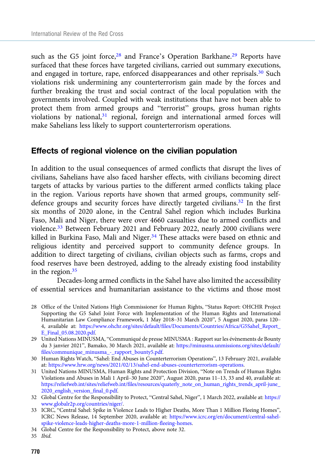such as the G5 joint force,<sup>28</sup> and France's Operation Barkhane.<sup>29</sup> Reports have surfaced that these forces have targeted civilians, carried out summary executions, and engaged in torture, rape, enforced disappearances and other reprisals.30 Such violations risk undermining any counterterrorism gain made by the forces and further breaking the trust and social contract of the local population with the governments involved. Coupled with weak institutions that have not been able to protect them from armed groups and "terrorist" groups, gross human rights violations by national,<sup>31</sup> regional, foreign and international armed forces will make Sahelians less likely to support counterterrorism operations.

#### Effects of regional violence on the civilian population

In addition to the usual consequences of armed conflicts that disrupt the lives of civilians, Sahelians have also faced harsher effects, with civilians becoming direct targets of attacks by various parties to the different armed conflicts taking place in the region. Various reports have shown that armed groups, community selfdefence groups and security forces have directly targeted civilians.<sup>32</sup> In the first six months of 2020 alone, in the Central Sahel region which includes Burkina Faso, Mali and Niger, there were over 4660 casualties due to armed conflicts and violence.33 Between February 2021 and February 2022, nearly 2000 civilians were killed in Burkina Faso, Mali and Niger.<sup>34</sup> These attacks were based on ethnic and religious identity and perceived support to community defence groups. In addition to direct targeting of civilians, civilian objects such as farms, crops and food reserves have been destroyed, adding to the already existing food instability in the region.35

Decades-long armed conflicts in the Sahel have also limited the accessibility of essential services and humanitarian assistance to the victims and those most

- 28 Office of the United Nations High Commissioner for Human Rights, "Status Report: OHCHR Project Supporting the G5 Sahel Joint Force with Implementation of the Human Rights and International Humanitarian Law Compliance Framework, 1 May 2018–31 March 2020", 5 August 2020, paras 120– 4, available at: [https://www.ohchr.org/sites/default/files/Documents/Countries/Africa/G5Sahel\\_Report\\_](https://www.ohchr.org/sites/default/files/Documents/Countries/Africa/G5Sahel_Report_E_Final_05.08.2020.pdf) [E\\_Final\\_05.08.2020.pdf](https://www.ohchr.org/sites/default/files/Documents/Countries/Africa/G5Sahel_Report_E_Final_05.08.2020.pdf).
- 29 United Nations MINUSMA, "Communiqué de presse MINUSMA : Rapport sur les évènements de Bounty du 3 janvier 2021", Bamako, 30 March 2021, available at: [https://minusma.unmissions.org/sites/default/](https://minusma.unmissions.org/sites/default/files/communique_minusma_-_rapport_bounty5.pdf) [files/communique\\_minusma\\_-\\_rapport\\_bounty5.pdf](https://minusma.unmissions.org/sites/default/files/communique_minusma_-_rapport_bounty5.pdf).
- 30 Human Rights Watch, "Sahel: End Abuses in Counterterrorism Operations", 13 February 2021, available at: [https://www.hrw.org/news/2021/02/13/sahel-end-abuses-counterterrorism-operations.](https://www.hrw.org/news/2021/02/13/sahel-end-abuses-counterterrorism-operations)
- 31 United Nations MINUSMA, Human Rights and Protection Division, "Note on Trends of Human Rights Violations and Abuses in Mali 1 April–30 June 2020", August 2020, paras 11–13, 33 and 40, available at: [https://reliefweb.int/sites/reliefweb.int/files/resources/quaterly\\_note\\_on\\_human\\_rights\\_trends\\_april-june\\_](https://reliefweb.int/sites/reliefweb.int/files/resources/quaterly_note_on_human_rights_trends_april-june_2020_english_version_final_0.pdf) [2020\\_english\\_version\\_final\\_0.pdf.](https://reliefweb.int/sites/reliefweb.int/files/resources/quaterly_note_on_human_rights_trends_april-june_2020_english_version_final_0.pdf)
- 32 Global Centre for the Responsibility to Protect, "Central Sahel, Niger", 1 March 2022, available at: [https://](https://www.globalr2p.org/countries/niger/) [www.globalr2p.org/countries/niger/](https://www.globalr2p.org/countries/niger/).
- 33 ICRC, "Central Sahel: Spike in Violence Leads to Higher Deaths, More Than 1 Million Fleeing Homes", ICRC News Release, 14 September 2020, available at: [https://www.icrc.org/en/document/central-sahel](https://www.icrc.org/en/document/central-sahel-spike-violence-leads-higher-deaths-more-1-million-fleeing-homes)[spike-violence-leads-higher-deaths-more-1-million-fleeing-homes](https://www.icrc.org/en/document/central-sahel-spike-violence-leads-higher-deaths-more-1-million-fleeing-homes).
- 34 Global Centre for the Responsibility to Protect, above note 32.
- 35 Ibid.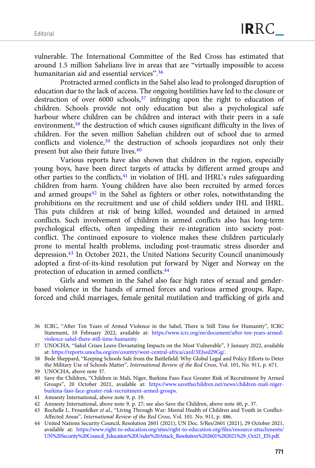vulnerable. The International Committee of the Red Cross has estimated that around 1.5 million Sahelians live in areas that are "virtually impossible to access humanitarian aid and essential services".<sup>36</sup>

Protracted armed conflicts in the Sahel also lead to prolonged disruption of education due to the lack of access. The ongoing hostilities have led to the closure or destruction of over 6000 schools,<sup>37</sup> infringing upon the right to education of children. Schools provide not only education but also a psychological safe harbour where children can be children and interact with their peers in a safe environment,38 the destruction of which causes significant difficulty in the lives of children. For the seven million Sahelian children out of school due to armed conflicts and violence,<sup>39</sup> the destruction of schools jeopardizes not only their present but also their future lives.40

Various reports have also shown that children in the region, especially young boys, have been direct targets of attacks by different armed groups and other parties to the conflicts,<sup>41</sup> in violation of IHL and IHRL's rules safeguarding children from harm. Young children have also been recruited by armed forces and armed groups $42$  in the Sahel as fighters or other roles, notwithstanding the prohibitions on the recruitment and use of child soldiers under IHL and IHRL. This puts children at risk of being killed, wounded and detained in armed conflicts. Such involvement of children in armed conflicts also has long-term psychological effects, often impeding their re-integration into society postconflict. The continued exposure to violence makes these children particularly prone to mental health problems, including post-traumatic stress disorder and depression.<sup>43</sup> In October 2021, the United Nations Security Council unanimously adopted a first-of-its-kind resolution put forward by Niger and Norway on the protection of education in armed conflicts.44

Girls and women in the Sahel also face high rates of sexual and genderbased violence in the hands of armed forces and various armed groups. Rape, forced and child marriages, female genital mutilation and trafficking of girls and

<sup>36</sup> ICRC, "After Ten Years of Armed Violence in the Sahel, There is Still Time for Humanity", ICRC Statement, 10 February 2022, available at: [https://www.icrc.org/en/document/after-ten-years-armed](https://www.icrc.org/en/document/after-ten-years-armed-violence-sahel-there-still-time-humanity)[violence-sahel-there-still-time-humanity.](https://www.icrc.org/en/document/after-ten-years-armed-violence-sahel-there-still-time-humanity)

<sup>37</sup> UNOCHA, "Sahel Crises Leave Devastating Impacts on the Most Vulnerable", 3 January 2022, available at: <https://reports.unocha.org/en/country/west-central-africa/card/3EJsed29Gg/>.

<sup>38</sup> Bede Sheppard, "Keeping Schools Safe from the Battlefield: Why Global Legal and Policy Efforts to Deter the Military Use of Schools Matter", International Review of the Red Cross, Vol. 101, No. 911, p. 671.

<sup>39</sup> UNOCHA, above note 37.

<sup>40</sup> Save the Children, "Children in Mali, Niger, Burkina Faso Face Greater Risk of Recruitment by Armed Groups", 20 October 2021, available at: [https://www.savethechildren.net/news/children-mali-niger](https://www.savethechildren.net/news/children-mali-niger-burkina-faso-face-greater-risk-recruitment-armed-groups)[burkina-faso-face-greater-risk-recruitment-armed-groups](https://www.savethechildren.net/news/children-mali-niger-burkina-faso-face-greater-risk-recruitment-armed-groups).

<sup>41</sup> Amnesty International, above note 9, p. 19.

<sup>42</sup> Amnesty International, above note 9, p. 27; see also Save the Children, above note 40, p. 37.

<sup>43</sup> Rochelle L. Frounfelker et al., "Living Through War: Mental Health of Children and Youth in Conflict-Affected Areas", International Review of the Red Cross, Vol. 101. No. 911, p. 486.

<sup>44</sup> United Nations Security Council, Resolution 2601 (2021), UN Doc. S/Res/2601 (2021), 29 October 2021, available at: [https://www.right-to-education.org/sites/right-to-education.org/files/resource-attachments/](https://www.right-to-education.org/sites/right-to-education.org/files/resource-attachments/UN%20Security%20Council_Education%20Under%20Attack_Resolution%202601%282021%29_Oct21_EN.pdf) [UN%20Security%20Council\\_Education%20Under%20Attack\\_Resolution%202601%282021%29\\_Oct21\\_EN.pdf.](https://www.right-to-education.org/sites/right-to-education.org/files/resource-attachments/UN%20Security%20Council_Education%20Under%20Attack_Resolution%202601%282021%29_Oct21_EN.pdf)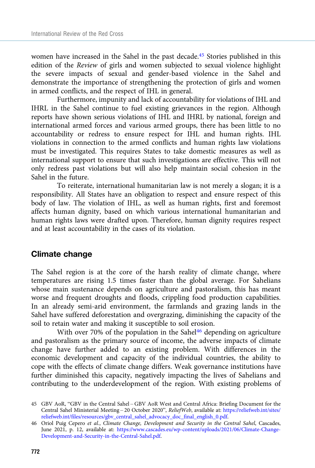women have increased in the Sahel in the past decade.<sup>45</sup> Stories published in this edition of the Review of girls and women subjected to sexual violence highlight the severe impacts of sexual and gender-based violence in the Sahel and demonstrate the importance of strengthening the protection of girls and women in armed conflicts, and the respect of IHL in general.

Furthermore, impunity and lack of accountability for violations of IHL and IHRL in the Sahel continue to fuel existing grievances in the region. Although reports have shown serious violations of IHL and IHRL by national, foreign and international armed forces and various armed groups, there has been little to no accountability or redress to ensure respect for IHL and human rights. IHL violations in connection to the armed conflicts and human rights law violations must be investigated. This requires States to take domestic measures as well as international support to ensure that such investigations are effective. This will not only redress past violations but will also help maintain social cohesion in the Sahel in the future.

To reiterate, international humanitarian law is not merely a slogan; it is a responsibility. All States have an obligation to respect and ensure respect of this body of law. The violation of IHL, as well as human rights, first and foremost affects human dignity, based on which various international humanitarian and human rights laws were drafted upon. Therefore, human dignity requires respect and at least accountability in the cases of its violation.

#### Climate change

The Sahel region is at the core of the harsh reality of climate change, where temperatures are rising 1.5 times faster than the global average. For Sahelians whose main sustenance depends on agriculture and pastoralism, this has meant worse and frequent droughts and floods, crippling food production capabilities. In an already semi-arid environment, the farmlands and grazing lands in the Sahel have suffered deforestation and overgrazing, diminishing the capacity of the soil to retain water and making it susceptible to soil erosion.

With over 70% of the population in the Sahel<sup>46</sup> depending on agriculture and pastoralism as the primary source of income, the adverse impacts of climate change have further added to an existing problem. With differences in the economic development and capacity of the individual countries, the ability to cope with the effects of climate change differs. Weak governance institutions have further diminished this capacity, negatively impacting the lives of Sahelians and contributing to the underdevelopment of the region. With existing problems of

<sup>45</sup> GBV AoR, "GBV in the Central Sahel – GBV AoR West and Central Africa: Briefing Document for the Central Sahel Ministerial Meeting – 20 October 2020", ReliefWeb, available at: [https://reliefweb.int/sites/](https://reliefweb.int/sites/reliefweb.int/files/resources/gbv_central_sahel_advocacy_doc_final_english_0.pdf) [reliefweb.int/files/resources/gbv\\_central\\_sahel\\_advocacy\\_doc\\_final\\_english\\_0.pdf](https://reliefweb.int/sites/reliefweb.int/files/resources/gbv_central_sahel_advocacy_doc_final_english_0.pdf).

<sup>46</sup> Oriol Puig Cepero et al., Climate Change, Development and Security in the Central Sahel, Cascades, June 2021, p. 12, available at: [https://www.cascades.eu/wp-content/uploads/2021/06/Climate-Change-](https://www.cascades.eu/wp-content/uploads/2021/06/Climate-Change-Development-and-Security-in-the-Central-Sahel.pdf)[Development-and-Security-in-the-Central-Sahel.pdf.](https://www.cascades.eu/wp-content/uploads/2021/06/Climate-Change-Development-and-Security-in-the-Central-Sahel.pdf)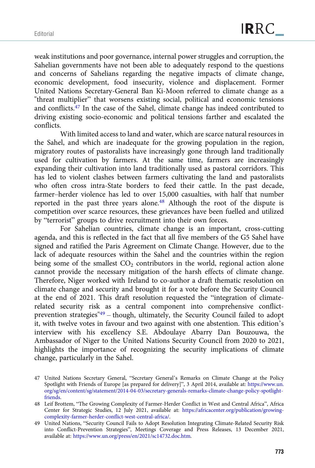weak institutions and poor governance, internal power struggles and corruption, the Sahelian governments have not been able to adequately respond to the questions and concerns of Sahelians regarding the negative impacts of climate change, economic development, food insecurity, violence and displacement. Former United Nations Secretary-General Ban Ki-Moon referred to climate change as a "threat multiplier" that worsens existing social, political and economic tensions and conflicts.47 In the case of the Sahel, climate change has indeed contributed to driving existing socio-economic and political tensions farther and escalated the conflicts.

With limited access to land and water, which are scarce natural resources in the Sahel, and which are inadequate for the growing population in the region, migratory routes of pastoralists have increasingly gone through land traditionally used for cultivation by farmers. At the same time, farmers are increasingly expanding their cultivation into land traditionally used as pastoral corridors. This has led to violent clashes between farmers cultivating the land and pastoralists who often cross intra-State borders to feed their cattle. In the past decade, farmer–herder violence has led to over 15,000 casualties, with half that number reported in the past three years alone.48 Although the root of the dispute is competition over scarce resources, these grievances have been fuelled and utilized by "terrorist" groups to drive recruitment into their own forces.

For Sahelian countries, climate change is an important, cross-cutting agenda, and this is reflected in the fact that all five members of the G5 Sahel have signed and ratified the Paris Agreement on Climate Change. However, due to the lack of adequate resources within the Sahel and the countries within the region being some of the smallest  $CO<sub>2</sub>$  contributors in the world, regional action alone cannot provide the necessary mitigation of the harsh effects of climate change. Therefore, Niger worked with Ireland to co-author a draft thematic resolution on climate change and security and brought it for a vote before the Security Council at the end of 2021. This draft resolution requested the "integration of climaterelated security risk as a central component into comprehensive conflictprevention strategies"49 – though, ultimately, the Security Council failed to adopt it, with twelve votes in favour and two against with one abstention. This edition's interview with his excellency S.E. Abdoulaye Abarry Dan Bouzouwa, the Ambassador of Niger to the United Nations Security Council from 2020 to 2021, highlights the importance of recognizing the security implications of climate change, particularly in the Sahel.

<sup>47</sup> United Nations Secretary General, "Secretary General's Remarks on Climate Change at the Policy Spotlight with Friends of Europe [as prepared for delivery]", 3 April 2014, available at: [https://www.un.](https://www.un.org/sg/en/content/sg/statement/2014-04-03/secretary-generals-remarks-climate-change-policy-spotlight-friends) [org/sg/en/content/sg/statement/2014-04-03/secretary-generals-remarks-climate-change-policy-spotlight](https://www.un.org/sg/en/content/sg/statement/2014-04-03/secretary-generals-remarks-climate-change-policy-spotlight-friends)[friends.](https://www.un.org/sg/en/content/sg/statement/2014-04-03/secretary-generals-remarks-climate-change-policy-spotlight-friends)

<sup>48</sup> Leif Brottem, "The Growing Complexity of Farmer-Herder Conflict in West and Central Africa", Africa Center for Strategic Studies, 12 July 2021, available at: [https://africacenter.org/publication/growing](https://africacenter.org/publication/growing-complexity-farmer-herder-conflict-west-central-africa/)[complexity-farmer-herder-conflict-west-central-africa/](https://africacenter.org/publication/growing-complexity-farmer-herder-conflict-west-central-africa/).

<sup>49</sup> United Nations, "Security Council Fails to Adopt Resolution Integrating Climate-Related Security Risk into Conflict-Prevention Strategies", Meetings Coverage and Press Releases, 13 December 2021, available at: [https://www.un.org/press/en/2021/sc14732.doc.htm.](https://www.un.org/press/en/2021/sc14732.doc.htm)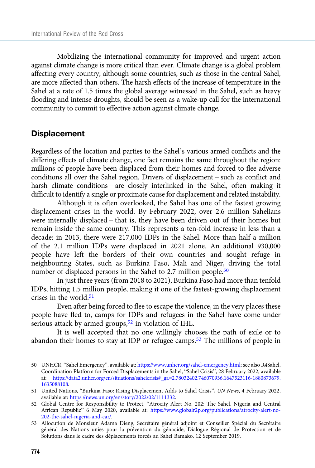Mobilizing the international community for improved and urgent action against climate change is more critical than ever. Climate change is a global problem affecting every country, although some countries, such as those in the central Sahel, are more affected than others. The harsh effects of the increase of temperature in the Sahel at a rate of 1.5 times the global average witnessed in the Sahel, such as heavy flooding and intense droughts, should be seen as a wake-up call for the international community to commit to effective action against climate change.

#### **Displacement**

Regardless of the location and parties to the Sahel's various armed conflicts and the differing effects of climate change, one fact remains the same throughout the region: millions of people have been displaced from their homes and forced to flee adverse conditions all over the Sahel region. Drivers of displacement – such as conflict and harsh climate conditions – are closely interlinked in the Sahel, often making it difficult to identify a single or proximate cause for displacement and related instability.

Although it is often overlooked, the Sahel has one of the fastest growing displacement crises in the world. By February 2022, over 2.6 million Sahelians were internally displaced – that is, they have been driven out of their homes but remain inside the same country. This represents a ten-fold increase in less than a decade: in 2013, there were 217,000 IDPs in the Sahel. More than half a million of the 2.1 million IDPs were displaced in 2021 alone. An additional 930,000 people have left the borders of their own countries and sought refuge in neighbouring States, such as Burkina Faso, Mali and Niger, driving the total number of displaced persons in the Sahel to 2.7 million people.<sup>50</sup>

In just three years (from 2018 to 2021), Burkina Faso had more than tenfold IDPs, hitting 1.5 million people, making it one of the fastest-growing displacement crises in the world. $51$ 

Even after being forced to flee to escape the violence, in the very places these people have fled to, camps for IDPs and refugees in the Sahel have come under serious attack by armed groups,<sup>52</sup> in violation of IHL.

It is well accepted that no one willingly chooses the path of exile or to abandon their homes to stay at IDP or refugee camps.<sup>53</sup> The millions of people in

<sup>50</sup> UNHCR, "Sahel Emergency", available at: [https://www.unhcr.org/sahel-emergency.html;](https://www.unhcr.org/sahel-emergency.html) see also R4Sahel, Coordination Platform for Forced Displacements in the Sahel, "Sahel Crisis", 28 February 2022, available at: [https://data2.unhcr.org/en/situations/sahelcrisis#\\_ga=2.78032402.746070936.1647523116-1880873679.](https://data2.unhcr.org/en/situations/sahelcrisis%23_ga=2.78032402.746070936.1647523116-1880873679.1635088108) [1635088108.](https://data2.unhcr.org/en/situations/sahelcrisis%23_ga=2.78032402.746070936.1647523116-1880873679.1635088108)

<sup>51</sup> United Nations, "Burkina Faso: Rising Displacement Adds to Sahel Crisis", UN News, 4 February 2022, available at: <https://news.un.org/en/story/2022/02/1111332>.

<sup>52</sup> Global Centre for Responsibility to Protect, "Atrocity Alert No. 202: The Sahel, Nigeria and Central African Republic" 6 May 2020, available at: [https://www.globalr2p.org/publications/atrocity-alert-no-](https://www.globalr2p.org/publications/atrocity-alert-no-202-the-sahel-nigeria-and-car/)[202-the-sahel-nigeria-and-car/](https://www.globalr2p.org/publications/atrocity-alert-no-202-the-sahel-nigeria-and-car/).

<sup>53</sup> Allocution de Monsieur Adama Dieng, Secrétaire général adjoint et Conseiller Spécial du Secrétaire général des Nations unies pour la prévention du génocide, Dialogue Régional de Protection et de Solutions dans le cadre des déplacements forcés au Sahel Bamako, 12 September 2019.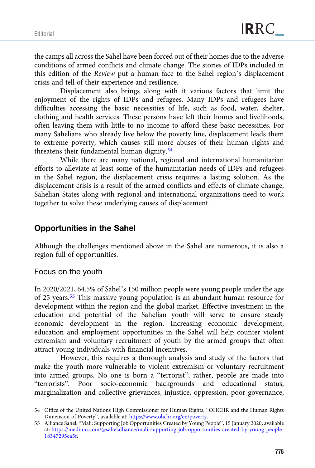the camps all across the Sahel have been forced out of their homes due to the adverse conditions of armed conflicts and climate change. The stories of IDPs included in this edition of the Review put a human face to the Sahel region's displacement crisis and tell of their experience and resilience.

Displacement also brings along with it various factors that limit the enjoyment of the rights of IDPs and refugees. Many IDPs and refugees have difficulties accessing the basic necessities of life, such as food, water, shelter, clothing and health services. These persons have left their homes and livelihoods, often leaving them with little to no income to afford these basic necessities. For many Sahelians who already live below the poverty line, displacement leads them to extreme poverty, which causes still more abuses of their human rights and threatens their fundamental human dignity.<sup>54</sup>

While there are many national, regional and international humanitarian efforts to alleviate at least some of the humanitarian needs of IDPs and refugees in the Sahel region, the displacement crisis requires a lasting solution. As the displacement crisis is a result of the armed conflicts and effects of climate change, Sahelian States along with regional and international organizations need to work together to solve these underlying causes of displacement.

#### Opportunities in the Sahel

Although the challenges mentioned above in the Sahel are numerous, it is also a region full of opportunities.

#### Focus on the youth

In 2020/2021, 64.5% of Sahel's 150 million people were young people under the age of 25 years.55 This massive young population is an abundant human resource for development within the region and the global market. Effective investment in the education and potential of the Sahelian youth will serve to ensure steady economic development in the region. Increasing economic development, education and employment opportunities in the Sahel will help counter violent extremism and voluntary recruitment of youth by the armed groups that often attract young individuals with financial incentives.

However, this requires a thorough analysis and study of the factors that make the youth more vulnerable to violent extremism or voluntary recruitment into armed groups. No one is born a "terrorist"; rather, people are made into "terrorists". Poor socio-economic backgrounds and educational status, marginalization and collective grievances, injustice, oppression, poor governance,

<sup>54</sup> Office of the United Nations High Commissioner for Human Rights, "OHCHR and the Human Rights Dimension of Poverty", available at: <https://www.ohchr.org/en/poverty>.

<sup>55</sup> Alliance Sahel, "Mali: Supporting Job Opportunities Created by Young People", 15 January 2020, available at: [https://medium.com/@sahelalliance/mali-supporting-job-opportunities-created-by-young-people-](https://medium.com/@sahelalliance/mali-supporting-job-opportunities-created-by-young-people-18347295ca5f)[18347295ca5f](https://medium.com/@sahelalliance/mali-supporting-job-opportunities-created-by-young-people-18347295ca5f).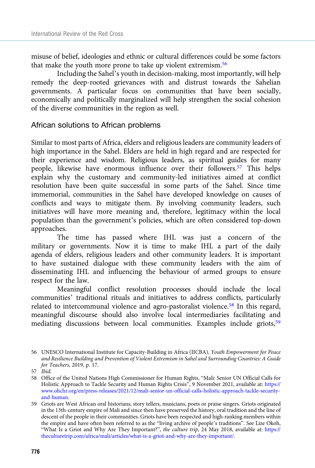misuse of belief, ideologies and ethnic or cultural differences could be some factors that make the youth more prone to take up violent extremism.<sup>56</sup>

Including the Sahel's youth in decision-making, most importantly, will help remedy the deep-rooted grievances with and distrust towards the Sahelian governments. A particular focus on communities that have been socially, economically and politically marginalized will help strengthen the social cohesion of the diverse communities in the region as well.

# African solutions to African problems

Similar to most parts of Africa, elders and religious leaders are community leaders of high importance in the Sahel. Elders are held in high regard and are respected for their experience and wisdom. Religious leaders, as spiritual guides for many people, likewise have enormous influence over their followers.57 This helps explain why the customary and community-led initiatives aimed at conflict resolution have been quite successful in some parts of the Sahel. Since time immemorial, communities in the Sahel have developed knowledge on causes of conflicts and ways to mitigate them. By involving community leaders, such initiatives will have more meaning and, therefore, legitimacy within the local population than the government's policies, which are often considered top-down approaches.

The time has passed where IHL was just a concern of the military or governments. Now it is time to make IHL a part of the daily agenda of elders, religious leaders and other community leaders. It is important to have sustained dialogue with these community leaders with the aim of disseminating IHL and influencing the behaviour of armed groups to ensure respect for the law.

Meaningful conflict resolution processes should include the local communities' traditional rituals and initiatives to address conflicts, particularly related to intercommunal violence and agro-pastoralist violence.58 In this regard, meaningful discourse should also involve local intermediaries facilitating and mediating discussions between local communities. Examples include griots,<sup>59</sup>

<sup>56</sup> UNESCO International Institute for Capacity-Building in Africa (IICBA), Youth Empowerment for Peace and Resilience Building and Prevention of Violent Extremism in Sahel and Surrounding Countries: A Guide for Teachers, 2019, p. 17.

<sup>57</sup> Ibid.

<sup>58</sup> Office of the United Nations High Commissioner for Human Rights, "Mali: Senior UN Official Calls for Holistic Approach to Tackle Security and Human Rights Crisis", 9 November 2021, available at: [https://](https://www.ohchr.org/en/press-releases/2021/12/mali-senior-un-official-calls-holistic-approach-tackle-security-and-human) [www.ohchr.org/en/press-releases/2021/12/mali-senior-un-official-calls-holistic-approach-tackle-security](https://www.ohchr.org/en/press-releases/2021/12/mali-senior-un-official-calls-holistic-approach-tackle-security-and-human)[and-human.](https://www.ohchr.org/en/press-releases/2021/12/mali-senior-un-official-calls-holistic-approach-tackle-security-and-human)

<sup>59</sup> Griots are West African oral historians, story tellers, musicians, poets or praise singers. Griots originated in the 13th-century empire of Mali and since then have preserved the history, oral tradition and the line of descent of the people in their communities. Griots have been respected and high-ranking members within the empire and have often been referred to as the "living archive of people's traditions". See Lize Okoh, "What Is a Griot and Why Are They Important?", the culture trip, 24 May 2018, available at: [https://](https://theculturetrip.com/africa/mali/articles/what-is-a-griot-and-why-are-they-important/) [theculturetrip.com/africa/mali/articles/what-is-a-griot-and-why-are-they-important/](https://theculturetrip.com/africa/mali/articles/what-is-a-griot-and-why-are-they-important/).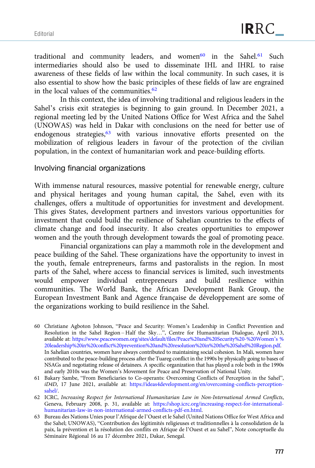traditional and community leaders, and women<sup>60</sup> in the Sahel.<sup>61</sup> Such intermediaries should also be used to disseminate IHL and IHRL to raise awareness of these fields of law within the local community. In such cases, it is also essential to show how the basic principles of these fields of law are engrained in the local values of the communities.<sup>62</sup>

In this context, the idea of involving traditional and religious leaders in the Sahel's crisis exit strategies is beginning to gain ground. In December 2021, a regional meeting led by the United Nations Office for West Africa and the Sahel (UNOWAS) was held in Dakar with conclusions on the need for better use of endogenous strategies,<sup>63</sup> with various innovative efforts presented on the mobilization of religious leaders in favour of the protection of the civilian population, in the context of humanitarian work and peace-building efforts.

Involving financial organizations

With immense natural resources, massive potential for renewable energy, culture and physical heritages and young human capital, the Sahel, even with its challenges, offers a multitude of opportunities for investment and development. This gives States, development partners and investors various opportunities for investment that could build the resilience of Sahelian countries to the effects of climate change and food insecurity. It also creates opportunities to empower women and the youth through development towards the goal of promoting peace.

Financial organizations can play a mammoth role in the development and peace building of the Sahel. These organizations have the opportunity to invest in the youth, female entrepreneurs, farms and pastoralists in the region. In most parts of the Sahel, where access to financial services is limited, such investments would empower individual entrepreneurs and build resilience within communities. The World Bank, the African Development Bank Group, the European Investment Bank and Agence française de développement are some of the organizations working to build resilience in the Sahel.

- 60 Christiane Agboton Johnson, "Peace and Security: Women's Leadership in Conflict Prevention and Resolution in the Sahel Region – Half the Sky…", Centre for Humanitarian Dialogue, April 2013, available at: [https://www.peacewomen.org/sites/default/files/Peace%20and%20Security%20-%20Women](https://www.peacewomen.org/sites/default/files/Peace%20and%20Security%20-%20Women's%20leadership%20in%20conflict%20prevention%20and%20resolution%20in%20the%20Sahel%20Region.pdf)'s % [20leadership%20in%20conflict%20prevention%20and%20resolution%20in%20the%20Sahel%20Region.pdf.](https://www.peacewomen.org/sites/default/files/Peace%20and%20Security%20-%20Women's%20leadership%20in%20conflict%20prevention%20and%20resolution%20in%20the%20Sahel%20Region.pdf) In Sahelian countries, women have always contributed to maintaining social cohesion. In Mali, women have contributed to the peace-building process after the Tuareg conflict in the 1990s by physically going to bases of NSAGs and negotiating release of detainees. A specific organization that has played a role both in the 1990s and early 2010s was the Women's Movement for Peace and Preservation of National Unity.
- 61 Bakary Sambe, "From Beneficiaries to Co-operants: Overcoming Conflicts of Perception in the Sahel", iD4D, 17 June 2021, available at: [https://ideas4development.org/en/overcoming-conflicts-perception](https://ideas4development.org/en/overcoming-conflicts-perception-sahel/)[sahel/](https://ideas4development.org/en/overcoming-conflicts-perception-sahel/).
- 62 ICRC, Increasing Respect for International Humanitarian Law in Non-International Armed Conflicts, Geneva, February 2008, p. 31, available at: [https://shop.icrc.org/increasing-respect-for-international](https://shop.icrc.org/increasing-respect-for-international-humanitarian-law-in-non-international-armed-conflicts-pdf-en.html)[humanitarian-law-in-non-international-armed-conflicts-pdf-en.html](https://shop.icrc.org/increasing-respect-for-international-humanitarian-law-in-non-international-armed-conflicts-pdf-en.html).
- 63 Bureau des Nations Unies pour l'Afrique de l'Ouest et le Sahel (United Nations Office for West Africa and the Sahel; UNOWAS), "Contribution des légitimités religieuses et traditionnelles à la consolidation de la paix, la prévention et la résolution des conflits en Afrique de l'Ouest et au Sahel", Note conceptuelle du Séminaire Régional 16 au 17 décembre 2021, Dakar, Senegal.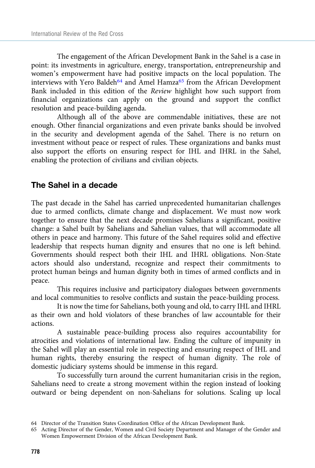The engagement of the African Development Bank in the Sahel is a case in point: its investments in agriculture, energy, transportation, entrepreneurship and women's empowerment have had positive impacts on the local population. The interviews with Yero Baldeh<sup>64</sup> and Amel Hamza<sup>65</sup> from the African Development Bank included in this edition of the Review highlight how such support from financial organizations can apply on the ground and support the conflict resolution and peace-building agenda.

Although all of the above are commendable initiatives, these are not enough. Other financial organizations and even private banks should be involved in the security and development agenda of the Sahel. There is no return on investment without peace or respect of rules. These organizations and banks must also support the efforts on ensuring respect for IHL and IHRL in the Sahel, enabling the protection of civilians and civilian objects.

#### The Sahel in a decade

The past decade in the Sahel has carried unprecedented humanitarian challenges due to armed conflicts, climate change and displacement. We must now work together to ensure that the next decade promises Sahelians a significant, positive change: a Sahel built by Sahelians and Sahelian values, that will accommodate all others in peace and harmony. This future of the Sahel requires solid and effective leadership that respects human dignity and ensures that no one is left behind. Governments should respect both their IHL and IHRL obligations. Non-State actors should also understand, recognize and respect their commitments to protect human beings and human dignity both in times of armed conflicts and in peace.

This requires inclusive and participatory dialogues between governments and local communities to resolve conflicts and sustain the peace-building process.

It is now the time for Sahelians, both young and old, to carry IHL and IHRL as their own and hold violators of these branches of law accountable for their actions.

A sustainable peace-building process also requires accountability for atrocities and violations of international law. Ending the culture of impunity in the Sahel will play an essential role in respecting and ensuring respect of IHL and human rights, thereby ensuring the respect of human dignity. The role of domestic judiciary systems should be immense in this regard.

To successfully turn around the current humanitarian crisis in the region, Sahelians need to create a strong movement within the region instead of looking outward or being dependent on non-Sahelians for solutions. Scaling up local

<sup>64</sup> Director of the Transition States Coordination Office of the African Development Bank.

<sup>65</sup> Acting Director of the Gender, Women and Civil Society Department and Manager of the Gender and Women Empowerment Division of the African Development Bank.